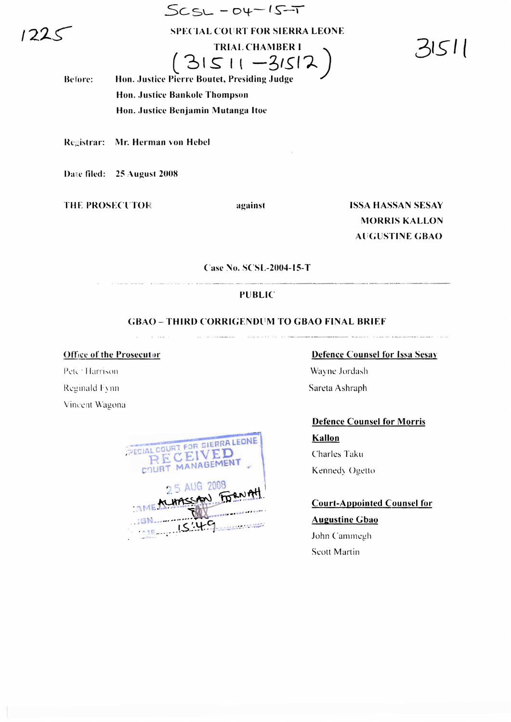$122<$ 

**SPECIAL COURT FOR SIERRA LEONE** 

 $SCSL - DY - IS - T$ 

**TRIAL CHAMBER I**  $(31511 - 31512)$  51511

Hon. Justice Pierre Boutet, Presiding Judge Before: Hon. Justice Bankole Thompson Hon. Justice Benjamin Mutanga Itoe

Registrar: Mr. Herman von Hebel

Date filed: 25 August 2008

**THE PROSECUTOR** 

against

**ISSA HASSAN SESAY MORRIS KALLON AUGUSTINE GBAO** 

Case No. SCSL-2004-15-T

## **PUBLIC**

## **GBAO - THIRD CORRIGENDUM TO GBAO FINAL BRIEF**

**Office of the Prosecutor** 

 $\omega = 100\,\mathrm{m}$ 

Peter Harrison Reginald Fynn Vincent Wagona

| PECIAL COURT FOR SIERRA LEONE<br>RECEIVED<br>COURT MANAGEMENT |
|---------------------------------------------------------------|
| 2 5 AUG 2008<br>THE MURSSAN FORNAH<br><b>SN</b><br>15.49      |

**Defence Counsel for Issa Sesay** 

Wayne Jordash Sareta Ashraph

**Defence Counsel for Morris** 

Kallon Charles Taku Kennedy Ogetto

**Court-Appointed Counsel for Augustine Gbao** 

John Cammegh Scott Martin